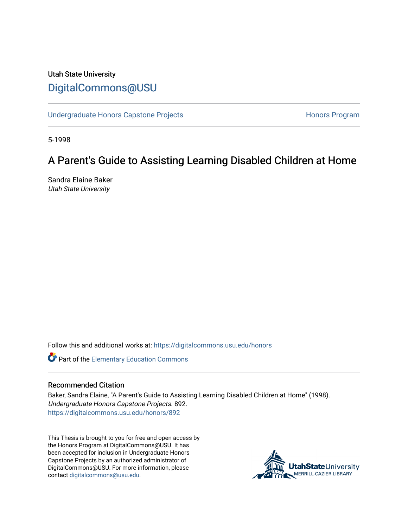# Utah State University [DigitalCommons@USU](https://digitalcommons.usu.edu/)

[Undergraduate Honors Capstone Projects](https://digitalcommons.usu.edu/honors) **Honors Program** Honors Program

5-1998

# A Parent's Guide to Assisting Learning Disabled Children at Home

Sandra Elaine Baker Utah State University

Follow this and additional works at: [https://digitalcommons.usu.edu/honors](https://digitalcommons.usu.edu/honors?utm_source=digitalcommons.usu.edu%2Fhonors%2F892&utm_medium=PDF&utm_campaign=PDFCoverPages)

Part of the [Elementary Education Commons](http://network.bepress.com/hgg/discipline/1378?utm_source=digitalcommons.usu.edu%2Fhonors%2F892&utm_medium=PDF&utm_campaign=PDFCoverPages) 

#### Recommended Citation

Baker, Sandra Elaine, "A Parent's Guide to Assisting Learning Disabled Children at Home" (1998). Undergraduate Honors Capstone Projects. 892. [https://digitalcommons.usu.edu/honors/892](https://digitalcommons.usu.edu/honors/892?utm_source=digitalcommons.usu.edu%2Fhonors%2F892&utm_medium=PDF&utm_campaign=PDFCoverPages)

This Thesis is brought to you for free and open access by the Honors Program at DigitalCommons@USU. It has been accepted for inclusion in Undergraduate Honors Capstone Projects by an authorized administrator of DigitalCommons@USU. For more information, please contact [digitalcommons@usu.edu](mailto:digitalcommons@usu.edu).

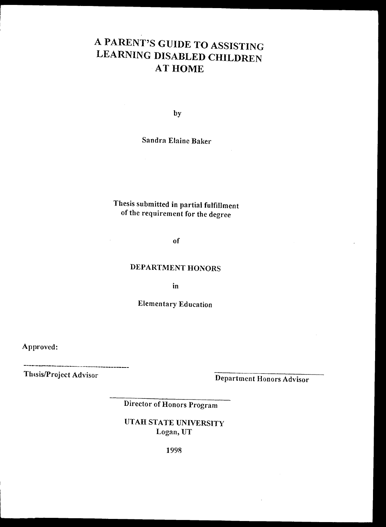# A PARENT'S GUIDE TO ASSISTING LEARNING DISABLED CHILDREN AT HOME

by

Sandra Elaine Baker

# Thesis submitted in partial fulfillment of the requirement for the degree

of

# **DEPARTMENT HONORS**

in

Elementary Education

Approved:

Thesis/Project Advisor<br>
Department Honors Advisor

Director of Honors Program

UTAH STATE UNIVERSITY Logan, UT

1998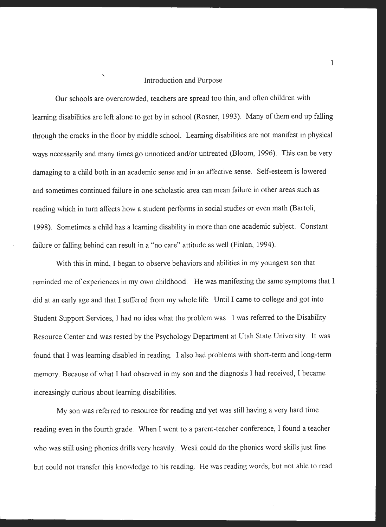#### Introduction and Purpose

Our schools are overcrowded, teachers are spread too thin, and often children with learning disabilities are left alone to get by in school (Rosner, 1993). Many of them end up falling through the cracks in the floor by middle school. Leaming disabilities are not manifest in physical ways necessarily and many times go unnoticed and/or untreated (Bloom, 1996). This can be very damaging to a child both in an academic sense and in an affective sense. Self-esteem is lowered and sometimes continued failure in one scholastic area can mean failure in other areas such as reading which in tum affects how a student performs in social studies or even math (Bartoli, 1998). Sometimes a child has a learning disability in more than one academic subject. Constant failure or falling behind can result in a "no care" attitude as well (Finlan, 1994).

With this in mind, I began to observe behaviors and abilities in my youngest son that reminded me of experiences in my own childhood. He was manifesting the same symptoms that I did at an early age and that I suffered from my whole life. Until I came to college and got into Student Support Services, I had no idea what the problem was. I was referred to the Disability Resource Center and was tested by the Psychology Department at Utah State University. It was found that I was learning disabled in reading. I also had problems with short-term and long-term memory. Because of what I had observed in my son and the diagnosis I had received, I became increasingly curious about learning disabilities.

My son was referred to resource for reading and yet was still having a very hard time reading even in the fourth grade. When I went to a parent-teacher conference, I found a teacher who was still using phonics drills very heavily. Wesli could do the phonics word skills just fine but could not transfer this knowledge to his reading. He was reading words, but not able to read

1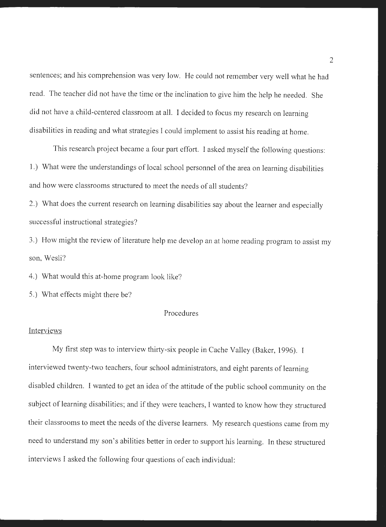sentences; and his comprehension was very low. He could not remember very well what he had read. The teacher did not have the time or the inclination to give him the help he needed. She did not have a child-centered classroom at all. I decided to focus my research on learning disabilities in reading and what strategies I could implement to assist his reading at home.

This research project became a four part effort. I asked myself the following questions: 1.) What were the understandings of local school personnel of the area on learning disabilities and how were classrooms structured to meet the needs of all students?

2.) What does the current research on learning disabilities say about the learner and especially successful instructional strategies?

3.) How might the review of literature help me develop an at home reading program to assist my son, Wesli?

4.) What would this at-home program look like?

5.) What effects might there be?

### Procedures

#### **Interviews**

My first step was to interview thirty-six people in Cache Valley (Baker, 1996). I interviewed twenty-two teachers, four school administrators, and eight parents of learning disabled children. I wanted to get an idea of the attitude of the public school community on the subject of learning disabilities; and if they were teachers, I wanted to know how they structured their classrooms to meet the needs of the diverse learners. My research questions came from my need to understand my son's abilities better in order to support his learning. In these structured interviews I asked the following four questions of each individual: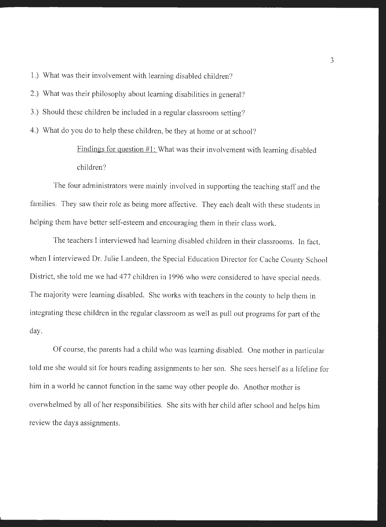1.) What was their involvement with learning disabled children?

- 2.) What was their philosophy about learning disabilities in general?
- 3.) Should these children be included in a regular classroom setting?

4.) What do you do to help these children, be they at home or at school?

Findings for question #1: What was their involvement with learning disabled children?

The four administrators were mainly involved in supporting the teaching staff and the families. They saw their role as being more affective. They each dealt with these students in helping them have better self-esteem and encouraging them in their class work.

The teachers I interviewed had learning disabled children in their classrooms. In fact, when I interviewed Dr. Julie Landeen, the Special Education Director for Cache County School District, she told me we had 477 children in 1996 who were considered to have special needs. The majority were learning disabled. She works with teachers in the county to help them in integrating these children in the regular classroom as well as pull out programs for part of the day.

Of course, the parents had a child who was learning disabled. One mother in particular told me she would sit for hours reading assignments to her son. She sees herself as a lifeline for him in a world he cannot function in the same way other people do. Another mother is overwhelmed by all of her responsibilities. She sits with her child after school and helps him review the days assignments.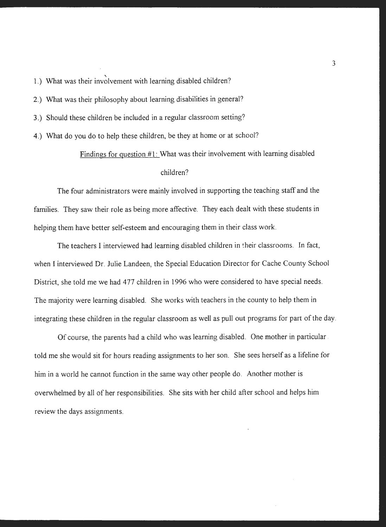1.) What was their involvement with learning disabled children?

2.) What was their philosophy about learning disabilities in general?

3.) Should these children be included in a regular classroom setting?

4.) What do you do to help these children, be they at home or at school?

# Findings for question  $#1$ : What was their involvement with learning disabled

#### children?

The four administrators were mainly involved in supporting the teaching staff and the families. They saw their role as being more affective. They each dealt with these students in helping them have better self-esteem and encouraging them in their class work.

The teachers I interviewed had learning disabled children in their classrooms. In fact, when I interviewed Dr. Julie Landeen, the Special Education Director for Cache County School District, she told me we had 477 children in 1996 who were considered to have special needs. The majority were learning disabled. She works with teachers in the county to help them in integrating these children in the regular classroom as well as pull out programs for part of the day.

Of course, the parents had a child who was learning disabled. One mother in particular told me she would sit for hours reading assignments to her son. She sees herself as a lifeline for him in a world he cannot function in the same way other people do. Another mother is overwhelmed by all of her responsibilities. She sits with her child after school and helps him review the days assignments.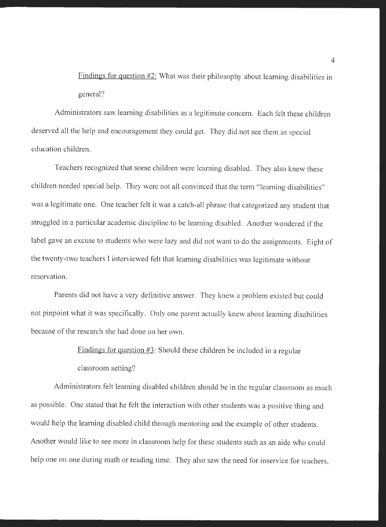Findings for question #2: What was their philosophy about learning disabilities in general?

Administrators saw learning disabilities as a legitimate concern. Each felt these children deserved all the help and encouragement they could get. They did not see them as special education children.

Teachers recognized that some children were learning disabled. They also knew these children needed special help. They were not all convinced that the term "learning disabilities" was a legitimate one. One teacher felt it was a catch-all phrase that categorized any student that struggled in a particular academic discipline to be learning disabled. Another wondered if the label gave an excuse to students who were lazy and did not want to do the assignments. Eight of the twenty-two teachers I interviewed felt that learning disabilities was legitimate without reservation.

Parents did not have a very definitive answer. They knew a problem existed but could not pinpoint what it was specifically. Only one parent actually knew about learning disabilities because of the research she had done on her own.

> Findings for question #3: Should these children be included in a regular classroom setting?

Administrators felt learning disabled children should be in the regular classroom as much as possible. One stated that he felt the interaction with other students was a positive thing and would help the learning disabled child through mentoring and the example of other students. Another would like to see more in classroom help for these students such as an aide who could help one on one during math or reading time. They also saw the need for inservice for teachers,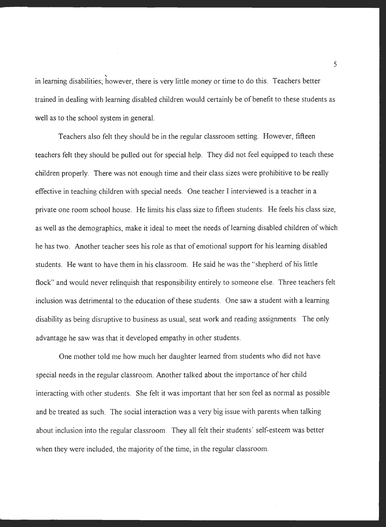in learning disabilities; however, there is very little money or time to do this. Teachers better trained in dealing with learning disabled children would certainly be of benefit to these students as well as to the school system in general.

Teachers also felt they should be in the regular classroom setting. However, fifteen teachers felt they should be pulled out for special help. They did not feel equipped to teach these children properly. There was not enough time and their class sizes were prohibitive to be really effective in teaching children with special needs. One teacher I interviewed is a teacher in a private one room school house. He limits his class size to fifteen students. He feels his class size, as well as the demographics, make it ideal to meet the needs of learning disabled children of which he has two. Another teacher sees his role as that of emotional support for his learning disabled students. He want to have them in his classroom. He said he was the "shepherd of his little flock" and would never relinquish that responsibility entirely to someone else. Three teachers felt inclusion was detrimental to the education of these students. One saw a student with a learning disability as being disruptive to business as usual, seat work and reading assignments. The only advantage he saw was that it developed empathy in other students.

One mother told me how much her daughter learned from students who did not have special needs in the regular classroom. Another talked about the importance of her child interacting with other students. She felt it was important that her son feel as normal as possible and be treated as such. The social interaction was a very big issue with parents when talking about inclusion into the regular classroom. They all felt their students' self-esteem was better when they were included, the majority of the time, in the regular classroom.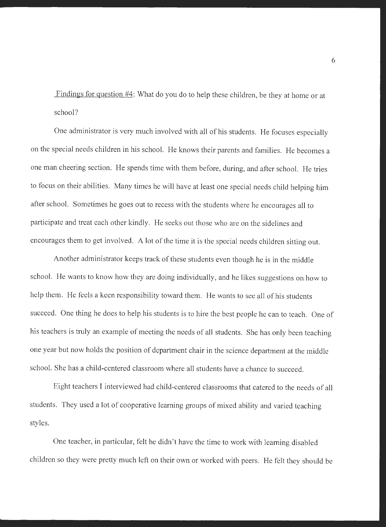Findings for question #4: What do you do to help these children, be they at home or at school?

One administrator is very much involved with all of his students. He focuses especially on the special needs children in his school. He knows their parents and families. He becomes a one man cheering section. He spends time with them before, during, and after school. He tries to focus on their abilities. Many times he will have at least one special needs child helping him after school. Sometimes he goes out to recess with the students where he encourages all to participate and treat each other kindly. He seeks out those who are on the sidelines and encourages them to get involved. A lot of the time it is the special needs children sitting out.

Another administrator keeps track of these students even though he is in the middle school. He wants to know how they are doing individually, and he likes suggestions on how to help them. He feels a keen responsibility toward them. He wants to see all of his students succeed. One thing he does to help his students is to hire the best people he can to teach. One of his teachers is truly an example of meeting the needs of all students. She has only been teaching one year but now holds the position of department chair in the science department at the middle school. She has a child-centered classroom where all students have a chance to succeed.

Eight teachers I interviewed had child-centered classrooms that catered to the needs of all students. They used a lot of cooperative learning groups of mixed ability and varied teaching styles.

One teacher, in particular, felt he didn't have the time to work with learning disabled children so they were pretty much left on their own or worked with peers. He felt they should be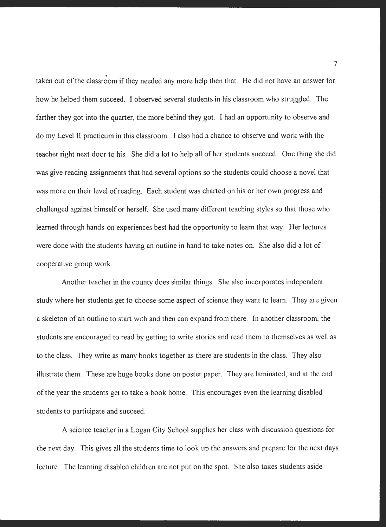taken out of the classroom if they needed any more help then that. He did not have an answer for how he helped them succeed. I observed several students in his classroom who struggled. The farther they got into the quarter, the more behind they got. I had an opportunity to observe and do my Level II practicum in this classroom. I also had a chance to observe and work with the teacher right next door to his. She did a lot to help all of her students succeed. One thing she did was give reading assignments that had several options so the students could choose a novel that was more on their level of reading. Each student was charted on his or her own progress and challenged against himself or herself. She used many different teaching styles so that those who learned through hands-on experiences best had the opportunity to learn that way. Her lectures were-done with the students having an outline in hand to take notes on. She also did a lot of cooperative group work.

Another teacher in the county does similar things. She also incorporates independent study where her students get to choose some aspect of science they want to learn. They are given a skeleton of an outline to start with and then can expand from there. In another classroom, the students are encouraged to read by getting to write stories and read them to themselves as well as to the class. They write as many books together as there are students in the class. They also illustrate them. These are huge books done on poster paper. They are laminated, and at the end of the year the students get to take a book home. This encourages even the learning disabled students to participate and succeed.

A science teacher in a Logan City School supplies her class with discussion questions for the next day. This gives all the students time to look up the answers and prepare for the next days lecture. The learning disabled children are not put on the spot. She also takes students aside

7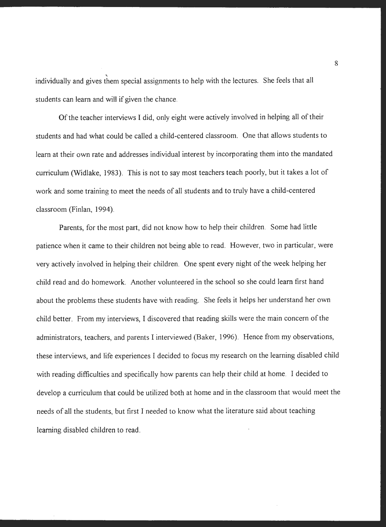individually and gives them special assignments to help with the lectures. She feels that all students can learn and will if given the chance.

Of the teacher interviews I did, only eight were actively involved in helping all of their students and had what could be called a child-centered classroom. One that allows students to learn at their own rate and addresses individual interest by incorporating them into the mandated curriculum (Widlake, 1983). This is not to say most teachers teach poorly, but it takes a lot of work and some training to meet the needs of all students and to truly have a child-centered classroom (Finlan, 1994).

Parents, for the most part, did not know how to help their children. Some had little patience when it came to their children not being able to read. However, two in particular, were very actively involved in helping their children. One spent every night of the week helping her child read and do homework. Another volunteered in the school so she could learn first hand about the problems these students have with reading. She feels it helps her understand her own child better. From my interviews, I discovered that reading skills were the main concern of the administrators, teachers, and parents I interviewed (Baker, 1996). Hence from my observations, these interviews, and life experiences I decided to focus my research on the learning disabled child with reading difficulties and specifically how parents can help their child at home. I decided to develop a curriculum that could be utilized both at home and in the classroom that would meet the needs of all the students, but first I needed to know what the literature said about teaching learning disabled children to read.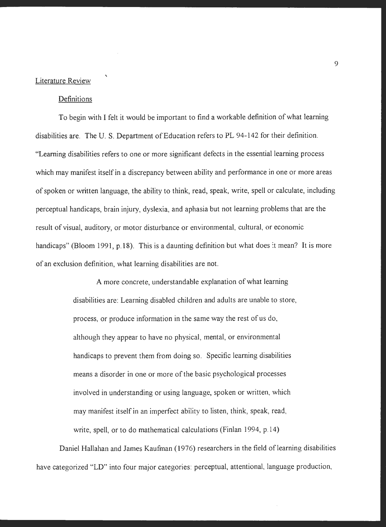#### Literature Review

#### Definitions

To begin with I felt it would be important to find a workable definition of what learning disabilities are. The U. S. Department of Education refers to PL 94-142 for their definition. ''Learning disabilities refers to one or more significant defects in the essential learning process which may manifest itself in a discrepancy between ability and performance in one or more areas of spoken or written language, the ability to think, read, speak, write, spell or calculate, including perceptual handicaps, brain injury, dyslexia, and aphasia but not learning problems that are the result of visual, auditory, or motor disturbance or environmental, cultural, or economic handicaps" (Bloom 1991, p.18). This is a daunting definition but what does it mean? It is more of an exclusion definition, what learning disabilities are not.

> A more concrete, understandable explanation of what learning disabilities are: Learning disabled children and adults are unable to store, process, or produce information in the same way the rest of us do, although they appear to have no physical, mental, or environmental handicaps to prevent them from doing so. Specific learning disabilities means a disorder in one or more of the basic psychological processes involved in understanding or using language, spoken or written, which may manifest itself in an imperfect ability to listen, think, speak, read, write, spell, or to do mathematical calculations (Finlan 1994,  $p.14$ )

Daniel Hallahan and James Kaufman (1976) researchers in the field of learning disabilities have categorized "LD" into four major categories: perceptual, attentional, language production,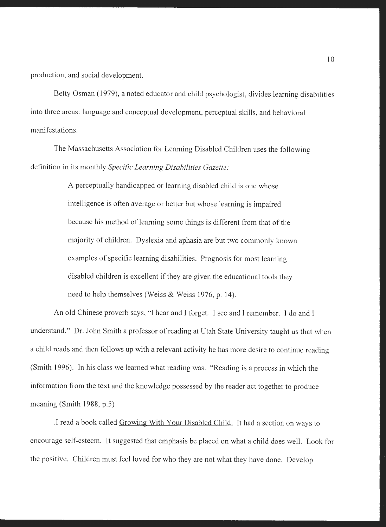production, and social development.

Betty Osman (1979), a noted educator and child psychologist, divides learning disabilities into three areas: language and conceptual development, perceptual skills, and behavioral manifestations.

The Massachusetts Association for Learning Disabled Children uses the following definition in its monthly *Specific Learning Disabilities Gazette:* 

> A perceptually handicapped or learning disabled child is one whose intelligence is often average or better but whose learning is impaired because his method of learning some things is different from that of the majority of children. Dyslexia and aphasia are but two commonly known examples of specific learning disabilities. Prognosis for most learning disabled children is excellent if they are given the educational tools they need to help themselves (Weiss & Weiss 1976, p. 14).

An old Chinese proverb says, "I hear and I forget. I see and I remember. I do and I understand." Dr. John Smith a professor of reading at Utah State University taught us that when a child reads and then follows up with a relevant activity he has more desire to continue reading (Smith 1996). In his class we learned what reading was. "Reading is a process in which the information from the text and the knowledge possessed by the reader act together to produce meaning (Smith 1988, p.5)

.I read a book called Growing With Your Disabled Child. It had a section on ways to encourage self-esteem. It suggested that emphasis be placed on what a child does well. Look for the positive. Children must feel loved for who they are not what they have done. Develop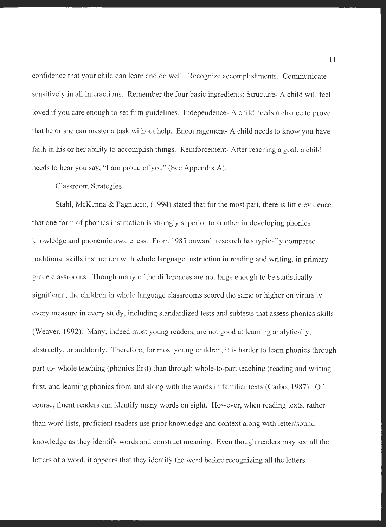confidence that your child can learn and do well. Recognize accomplishments. Communicate sensitively in all interactions. Remember the four basic ingredients: Structure- A child will feel loved if you care enough to set firm guidelines. Independence- A child needs a chance to prove that he or she can master a task without help. Encouragement- A child needs to know you have faith in his or her ability to accomplish things. Reinforcement- After reaching a goal, a child needs to hear you say, "I am proud of you" (See Appendix A).

### Classroom Strategies

Stahl, McKenna & Pagnucco, (1994) stated that for the most part, there is little evidence that one form of phonics instruction is strongly superior to another in developing phonics knowledge and phonemic awareness. From 1985 onward, research has typically compared traditional skills instruction with whole language instruction in reading and writing, in primary grade classrooms. Though many of the differences are not large enough to be statistically significant, the children in whole language classrooms scored the same or higher on virtually every measure in every study, including standardized tests and subtests that assess phonics skills (Weaver, 1992). Many, indeed most young readers, are not good at learning analytically, abstractly, or auditorily. Therefore, for most young children, it is harder to learn phonics through part-to- whole teaching (phonics first) than through whole-to-part teaching (reading and writing first, and learning phonics from and along with the words in familiar texts (Carbo, 1987). Of course, fluent readers can identify many words on sight. However, when reading texts, rather than word lists, proficient readers use prior knowledge and context along with letter/sound knowledge as they identify words and construct meaning. Even though readers may see all the letters of a word, it appears that they identify the word before recognizing all the letters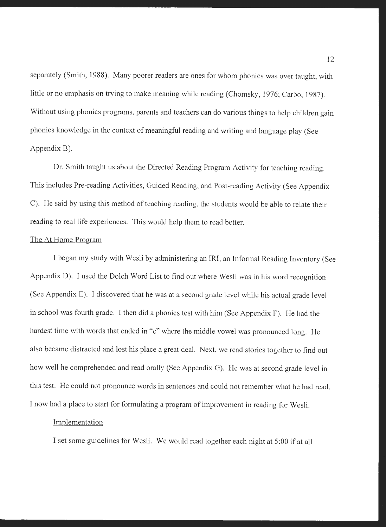separately (Smith, 1988). Many poorer readers are ones for whom phonics was over taught, with little or no emphasis on trying to make meaning while reading (Chomsky, 1976; Carbo, 1987). Without using phonics programs, parents and teachers can do various things to help children gain <sup>p</sup>honics knowledge in the context of meaningful reading and writing and language play (See Appendix B).

Dr. Smith taught us about the Directed Reading Program Activity for teaching reading. This includes Pre-reading Activities, Guided Reading, and Post-reading Activity (See Appendix C). He said by using this method of teaching reading, the students would be able to relate their reading to real life experiences. This would help them to read better.

#### The At Home Program

I began my study with Wesli by administering an IRI, an Informal Reading Inventory (See Appendix D). I used the Dolch Word List to find out where Wesli was in his word recognition (See Appendix E). I discovered that he was at a second grade level while his actual grade level in school was fourth grade. I then did a phonics test with him (See Appendix F). He had the hardest time with words that ended in "e" where the middle vowel was pronounced long. He also became distracted and lost his place a great deal. Next, we read stories together to find out how well he comprehended and read orally (See Appendix G). He was at second grade level in this test. He could not pronounce words in sentences and could not remember what he had read. I now had a place to start for formulating a program of improvement in reading for Wesli.

#### Implementation

I set some guidelines for Wesli. We would read together each night at 5:00 if at all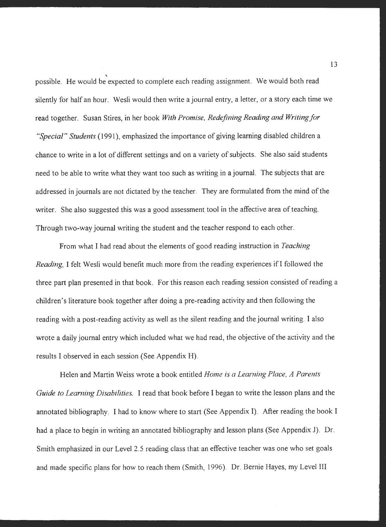possible. He would be expected to complete each reading assignment. We would both read silently for half an hour. Wesli would then write a journal entry, a letter, or a story each time we read together. Susan Stires, in her book *With Promise, Redefining Reading and Writing for "Special" Students* ( 1991 ), emphasized the importance of giving learning disabled children a chance to write in a lot of different settings and on a variety of subjects. She also said students need to be able to write what they want too such as writing in a journal. The subjects that are addressed in journals are not dictated by the teacher. They are formulated from the mind of the writer. She also suggested this was a good assessment tool in the affective area of teaching. Through two-way journal writing the student and the teacher respond to each other.

From what I had read about the elements of good reading instruction in *Teaching Reading*, I felt Wesli would benefit much more from the reading experiences if I followed the three part plan presented in that book. For this reason each reading session consisted of reading a children's literature book together after doing a pre-reading activity and then following the reading with a post-reading activity as well as the silent reading and the journal writing. I also wrote a daily journal entry which included what we had read, the objective of the activity and the results I observed in each session (See Appendix H).

Helen and Martin Weiss wrote a book entitled *Home is a Leaming Place, A Parents Guide to Learning Disabilities.* I read that book before I began to write the lesson plans and the annotated bibliography. I had to know where to start (See Appendix I). After reading the book I had a place to begin in writing an annotated bibliography and lesson plans (See Appendix J). Dr. Smith emphasized in our Level 2.5 reading class that an effective teacher was one who set goals and made specific plans for how to reach them (Smith, 1996). Dr. Bernie Hayes, my Level III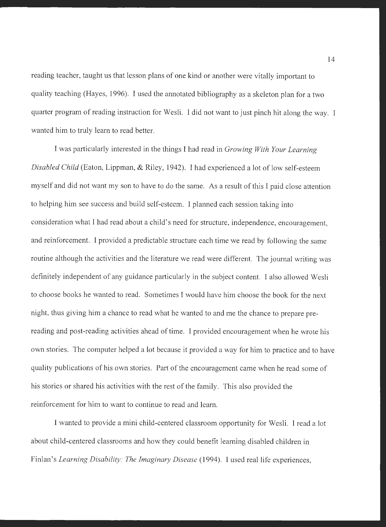reading teacher, taught us that lesson plans of one kind or another were vitally important to quality teaching (Hayes, 1996). I used the annotated bibliography as a skeleton plan for a two quarter program of reading instruction for Wesli. I did not want to just pinch hit along the way. I wanted him to truly learn to read better.

I was particularly interested in the things I had read in *Growing With Your Learning Disabled Child* (Eaton, Lippman, & Riley, 1942). I had experienced a lot of low self-esteem myself and did not want my son to have to do the same. As a result of this I paid close attention to helping him see success and build self-esteem. I planned each session taking into consideration what I had read about a child's need for structure, independence, encouragement, and reinforcement. I provided a predictable structure each time we read by following the same routine although the activities and the literature we read were different. The journal writing was definitely independent of any guidance particularly in the subject content. I also allowed Wesli to choose books he wanted to read. Sometimes I would have him choose the book for the next night, thus giving him a chance to read what he wanted to and me the chance to prepare prereading and post-reading activities ahead of time. I provided encouragement when he wrote his own stories. The computer helped a lot because it provided a way for him to practice and to have quality publications of his own stories. Part of the encouragement came when he read some of his stories or shared his activities with the rest of the family. This also provided the reinforcement for him to want to continue to read and learn.

I wanted to provide a mini child-centered classroom opportunity for Wesli. I read a lot about child-centered classrooms and how they could benefit learning disabled children in Finlan's *Learning Disability: The Imaginary Disease* (1994). I used real life experiences,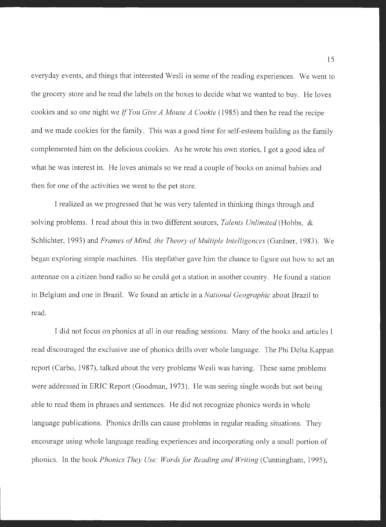everyday events, and things that interested Wesli in some of the reading experiences. We went to the grocery store and he read the labels on the boxes to decide what we wanted to buy. He loves cookies and so one night we *If You Give A Mouse A Cookie* (1985) and then he read the recipe and we made cookies for the family. This was a good time for self-esteem building as the family complemented him on the delicious cookies. As he wrote his own stories, I got a good idea of what he was interest in. He loves animals so we read a couple of books on animal babies and then for one of the activities we went to the pet store.

I realized as we progressed that he was very talented in thinking things through and solving problems. I read about this in two different sources, *Talents Unlimited* (Hobbs, & Schlichter, 1993) and *Frames of Mind, the Theory of Multiple Intelligences* (Gardner, 1983). We began exploring simple machines. His stepfather gave him the chance to figure out how to set an antennae on a citizen band radio so he could get a station in another country. He found a station in Belgium and one in Brazil. We found an article in a *National Geographic* about Brazil to read.

I did not focus on phonics at all in our reading sessions. Many of the books and articles I read discouraged the exclusive use of phonics drills over whole language. The Phi Delta Kappan report (Carbo, 1987), talked about the very problems Wesli was having. These same problems were addressed in ERIC Report (Goodman, 1973). He was seeing single words but not being able to read them in phrases and sentences. He did not recognize phonics words in whole language publications. Phonics drills can cause problems in regular reading situations. They encourage using whole language reading experiences and incorporating only a small portion of phonics. In the book *Phonics They Use: Words for Reading and Writing* (Cunningham, 1995),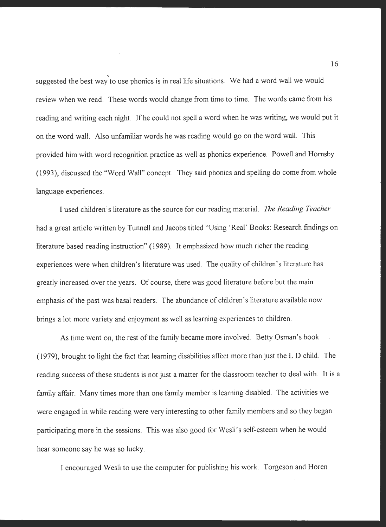suggested the best way to use phonics is in real life situations. We had a word wall we would review when we read. These words would change from time to time. The words came from his reading and writing each night. If he could not spell a word when he was writing, we would put it on the word wall. Also unfamiliar words he was reading would go on the word wall. This provided him with word recognition practice as well as phonics experience. Powell and Hornsby (1993), discussed the "Word Wall" concept. They said phonics and spelling do come from whole language experiences.

I used children's literature as the source for our reading material. *The Reading Teacher*  had a great article written by Tunnell and Jacobs titled "Using 'Real' Books: Research findings on literature based reading instruction" ( 1989). It emphasized how much richer the reading experiences were when children's literature was used. The quality of children's literature has greatly increased over the years. Of course, there was good literature before but the main emphasis of the past was basal readers. The abundance of children's literature available now brings a lot more variety and enjoyment as well as learning experiences to children.

As time went on, the rest of the family became more involved. Betty Osman's book (1979), brought to light the fact that learning disabilities affect more than just the L D child. The reading success of these students is not just a matter for the classroom teacher to deal with. It is a family affair. Many times more than one family member is learning disabled. The activities we were engaged in while reading were very interesting to other family members and so they began participating more in the sessions. This was also good for Wesli's self-esteem when he would hear someone say he was so lucky.

I encouraged Wesli to use the computer for publishing his work. Torgeson and Horen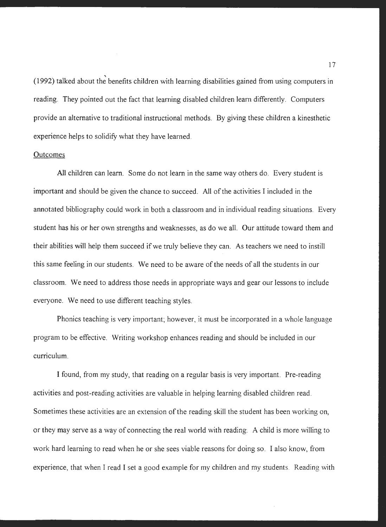' (1992) talked about the benefits children with learning disabilities gained from using computers in reading. They pointed out the fact that learning disabled children learn differently. Computers provide an alternative to traditional instructional methods. By giving these children a kinesthetic experience helps to solidify what they have learned.

#### **Outcomes**

All children can learn. Some do not learn in the same way others do. Every student is important and should be given the chance to succeed. All of the activities I included in the annotated bibliography could work in both a classroom and in individual reading situations. Every student has his or her own strengths and weaknesses, as do we all. Our attitude toward them and their abilities will help them succeed if we truly believe they can. As teachers we need to instill this same feeling in our students. We need to be aware of the needs of all the students in our classroom. We need to address those needs in appropriate ways and gear our lessons to include everyone. We need to use different teaching styles.

Phonics teaching is very important; however, it must be incorporated in a whole language program to be effective. Writing workshop enhances reading and should be included in our curriculum.

I found, from my study, that reading on a regular basis is very important. Pre-reading activities and post-reading activities are valuable in helping learning disabled children read. Sometimes these activities are an extension of the reading skill the student has been working on, or they may serve as a way of connecting the real world with reading. A child is more willing to work hard learning to read when he or she sees viable reasons for doing so. I also know, from experience, that when I read I set a good example for my children and my students. Reading with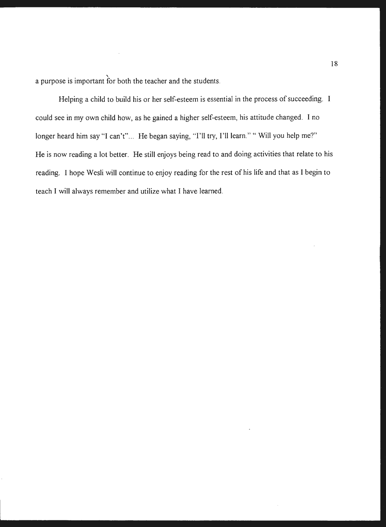' a purpose is important for both the teacher and the students.

Helping a child to build his or her self-esteem is essential in the process of succeeding. I could see in my own child how, as he gained a higher self-esteem, his attitude changed. I no longer heard him say "I can't"... He began saying, "I'll try, I'll learn." " Will you help me?" He is now reading a lot better. He still enjoys being read to and doing activities that relate to his reading. I hope Wesli will continue to enjoy reading for the rest of his life and that as I begin to teach I will always remember and utilize what I have learned.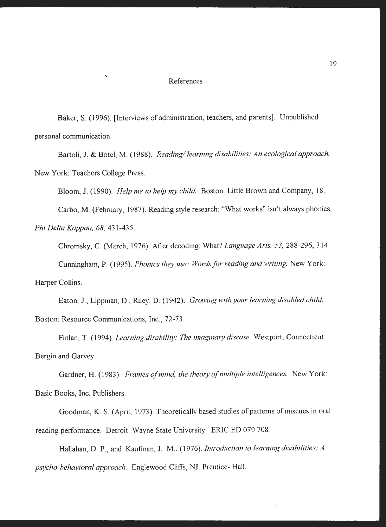#### References

Baker, S. (1996). [Interviews of administration, teachers, and parents]. Unpublished personal communication.

Bartoli, J. & Botel, M. (1988). *Reading/ learning disabilities: An ecological approach.*  New York: Teachers College Press.

Bloom, J. (1990). *Help me to help my child.* Boston: Little Brown and Company, 18.

Carbo, M. (February, 1987). Reading style research: "What works" isn't always phonics.

*Phi Delta Kappan, 68,* 431-435.

 $\overline{\phantom{0}}$ 

Chromsky, C. (Mc.rch, 1976). After decoding: What? *Language Arts, 53,* 288-296, 314.

Cunningham, P. (1995). *Phonics they use: Words for reading and writing.* New York:

Harper Collins.

Eaton, J., Lippman, D., Riley, D. (1942). *Growing with your learning disabled child.*  Boston: Resource Communications, Inc., 72-73.

Finlan, T. (1994). *Learning disability: The imaginary disease*. Westport, Connecticut: Bergin and Garvey.

Gardner, H. (1983). *Frames of mind, the theory of multiple intelligences.* New York: Basic Books, Inc. Publishers.

Goodman, K. S. (April, 1973). Theoretically based studies of patterns of miscues in oral reading performance. Detroit: Wayne State University. ERIC:ED 079 708.

Hallahan, D. P., and Kaufman, J. M.. (1976). *Introduction to learning disabilities: A psycho-behavioral approach.* Englewood Cliffs, NJ: Prentice- Hall.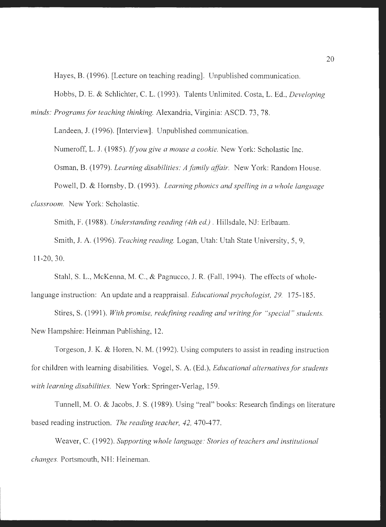Hayes, B. (1996). [Lecture on teaching reading]. Unpublished communication.

Hobbs, D. E. & Schlichter, C. L. (1993). Talents Unlimited. Costa, L. Ed., *Developing* 

*minds: Programs for teaching thinking.* Alexandria, Virginia: ASCD. 73, 78.

Landeen, J. (1996). [Interview]. Unpublished communication.

Numeroff, L. J. (1985). *Jfyou give a mouse a cookie.* New York: Scholastic Inc.

Osman, B. (1979). *Learning disabilities: A family affair.* New York: Random House.

Powell, D. & Hornsby, D. (1993). *Learning phonics and spelling in a whole language classroom.* New York: Scholastic.

Smith, F. (1988). *Understanding reading (4th ed.).* Hillsdale, NJ: Erlbaum.

Smith, J. A. (1996). *Teaching reading.* Logan, Utah: Utah State University, 5, 9, 11-20, 30.

Stahl, S. L., McKenna, M. C., & Pagnucco, J. R. (Fall, 1994). The effects of whole-

language instruction: An update and a reappraisal. *Educational psychologist, 29.* 175-185.

Stires, S. (1991). With promise, redefining reading and writing for "special" students. New Hampshire: Heinman Publishing, 12.

Torgeson, J. K. & Horen, N. M. (1992). Using computers to assist in reading instruction for children with learning disabilities. Vogel, S. A. (Ed.), *Educational alternatives for students with learning disabilities.* New York: Springer-Verlag, 159.

Tunnell, M. 0. & Jacobs, J. S. (1989). Using "real" books: Research findings on literature based reading instruction. *The reading teacher, 42,* 470-477.

Weaver, C. (1992). *Supporting whole language: Stories of teachers and institutional changes.* Portsmouth, NH: Heineman.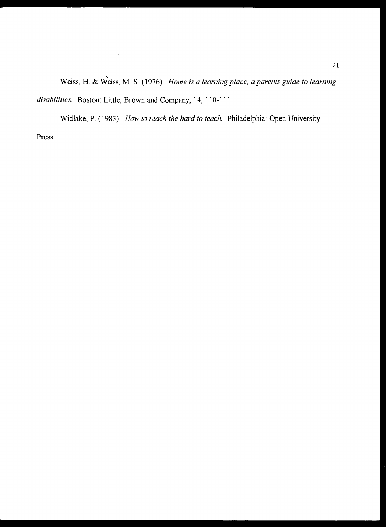Weiss, H. & Weiss, M. S. (1976). ' *Home is a learning place, a parents guide to learning disabilities.* Boston: Little, Brown and Company, 14, 110-111.

 $\ddot{\phantom{a}}$ 

Widlake, P. (1983). *How to reach the hard to teach.* Philadelphia: Open University Press.

 $\sim 10$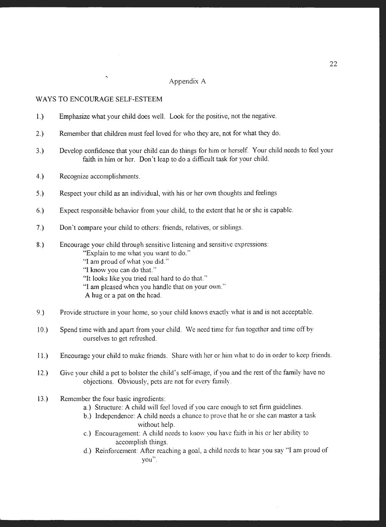#### Appendix A

#### WAYS TO ENCOURAGE SELF-ESTEEM

 $\overline{\phantom{a}}$ 

- 1.) Emphasize what your child does well. Look for the positive, not the negative.
- 2.) Remember that children must feel loved for who they are, not for what they do.
- 3.) Develop confidence that your child can do things for him or herself. Your child needs to feel your faith in him or her. Don't leap to do a difficult task for your child.
- 4.) Recognize accomplishments.
- 5.) Respect your child as an individual, with his or her own thoughts and feelings
- 6.) Expect responsible behavior from your child, to the extent that he or she is capable.
- 7.) Don't compare your child to others: friends, relatives, or siblings.
- 8.) Encourage your child through sensitive listening and sensitive expressions:
	- "Explain to me what you want to do."
	- "I am proud of what you did."
	- "I know you can do that."
	- "It looks like you tried real hard to do that."
	- "I am pleased when you handle that on your own."
	- A hug or a pat on the head.
- 9.) Provide structure in your home, so your child knows exactly what is and is not acceptable.
- 10.) Spend time with and apart from your child. We need time for fun together and time off by ourselves to get refreshed.
- 11.) Encourage your child to make friends. Share with her or him what to do in order to keep friends.
- 12.) Give your child a pet to bolster the child's self-image, if you and the rest of the family have no objections. Obviously, pets are not for every family.
- 13.) Remember the four basic ingredients:
	- a.) Structure: A child will feel loved if you care enough to set firm guidelines.
	- b.) Independence: A child needs a chance to prove that he or she can master a task without help.
	- c.) Encouragement: A child needs to know you have faith in his or her ability to accomplish things.
	- d.) Reinforcement: After reaching a goal, a child needs to hear you say "I am proud of you".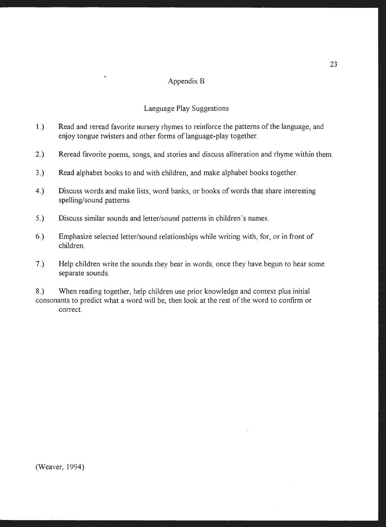# Appendix B

# Language Play Suggestions

- 1.) Read and reread favorite nursery rhymes to reinforce the patterns of the language, and enjoy tongue twisters and other forms of language-play together.
- 2.) Reread favorite poems, songs, and stories and discuss alliteration and rhyme within them.
- 3.) Read alphabet books to and with children, and make alphabet books together.
- 4.) Discuss words and make lists, word banks, or books of words that share interesting spelling/sound patterns.
- 5.) Discuss similar sounds and letter/sound patterns in children's names.

 $\overline{\phantom{a}}$ 

- 6.) Emphasize selected letter/sound relationships while writing with, for, or in front of children.
- 7.) Help children write the sounds they hear in words, once they have begun to hear some separate sounds.

8.) When reading together, help children use prior knowledge and context plus initial consonants to predict what a word will be, then look at the rest of the word to confirm or correct.

(Weaver, 1994)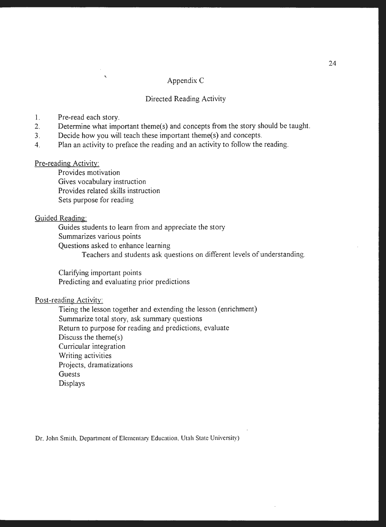# Appendix C

#### Directed Reading Activity

- 1. Pre-read each story.
- 2. Determine what important theme(s) and concepts from the story should be taught.
- 3. Decide how you will teach these important theme(s) and concepts.
- 4. Plan an activity to preface the reading and an activity to follow the reading.

# Pre-reading Activity:

Provides motivation Gives vocabulary instruction Provides related skills instruction Sets purpose for reading

'

# Guided Reading:

Guides students to learn from and appreciate the story Summarizes various points Questions asked to enhance learning Teachers and students ask questions on different levels of understanding.

Clarifying important points Predicting and evaluating prior predictions

# Post-reading Activity:

Tieing the lesson together and extending the lesson (enrichment) Summarize total story, ask summary questions Return to purpose for reading and predictions, evaluate Discuss the theme(s) Curricular integration Writing activities Projects, dramatizations Guests Displays

Dr. John Smith, Department of Elementary Education, Utah State University)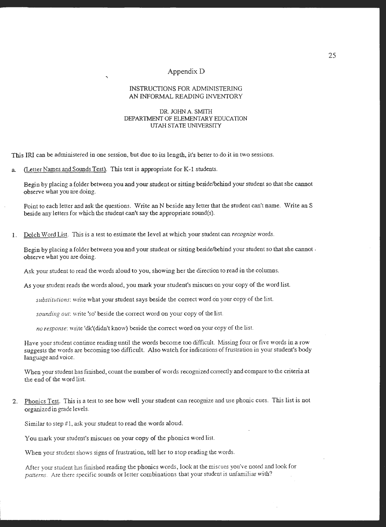#### Appendix D

#### INSTRUCTIONS FOR ADMINISTERING **AN** INFORMAL READING INVENTORY

#### DR. JOHN A. SMITH DEPARTMENT OF ELEMENTARY EDUCATION UTAH STATE UNIVERSITY

This IRI can be administered in one session, but due to its length, it's better to do it in two sessions.

a (Letter Names and Sounds Test). This test is appropriate for K-1 students.

'

Begin by placing a (older between you and your student or sitting beside/behind your student so that she cannot observe what you are doing.

Point to each letter and ask the questions. Write an N beside any Jetter that the student can't name. Write an S beside any letters for which the student can't say the appropriate sound(s).

I. Dolch Word List. Tbis is a test to estimate the level at which your student can *recognize* words.

Begin by placing a folder between you and your student or sitting beside/behind your student so that she cannot . observe what you are doing.

Ask your student to read the words aloud to you, showing her the direction to read in the columns.

As your student reads the words aloud, you mark your student's miscues on your copy of the word list.

substitutions: write what your student says beside the correct word on your copy of the list.

*sounding out:* write 'so' beside the correct word on your copy of the list.

*no response:* write 'dk'(didn't know) beside the correct word on your copy of the list.

Have your student continue reading until the words become too difficult. Missing four or five words in a row suggests the words are becoming too difficult. Also watch for indications of frustration in your student's body language and voice.

When your student has finished, count the number of words recognized correctly and compare to the criteria at the end of the word list.

2. Phonics Test. This is a test to see how well your student can recognize and use phonic cues. This list is not organized in grade levels.

Similar to step #1, ask your student to read the words aloud.

You mark your student's miscues on your copy of the phonics word list.

When your student shows signs of frustration, tell her to stop reading the words.

After your student has finished reading the phonics words, look at the miscues you've noted and look for patterns. Arc there specific sounds or letter combinations that your student is unfamiliar with?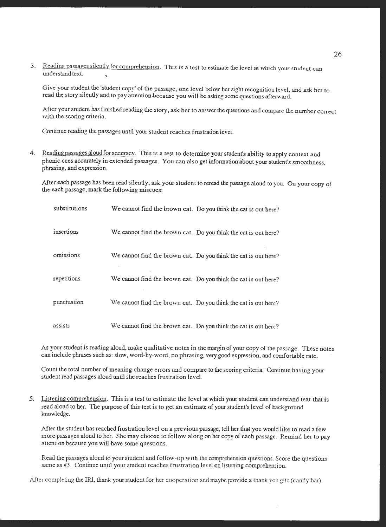3. Reading passages silently for comprehension. This is a test to estimate the level at which your student can understand text. '

Give your student the 'student copy' of the passage. one level below her sight recognition level, and ask her to read the story silently and to pay attention because you will be asking some questions afterward.

After your student has finished reading the story, ask her to answer the questions and compare the number correct with the scoring criteria.

Continue reading the passages until your student reaches frustration level.

4. Reading passages aloud for accuracy. This is a test to determine your student's ability to apply context and phonic cues accurately in extended passages. You can also get information about your student's smoothness, phrasing. and expression.

After each passage has been read silently, ask your student to reread the passage aloud to you. On your copy of the each passage, mark the following miscues:

| substitutions | We cannot find the brown cat. Do you think the cat is out here? |
|---------------|-----------------------------------------------------------------|
| insertions    | We cannot find the brown cat. Do you think the cat is out here? |
| omissions     | We cannot find the brown cat. Do you think the cat is out here? |
| repetitions   | We cannot find the brown cat. Do you think the cat is out here? |
| punctuation   | We cannot find the brown cat. Do you think the cat is out here? |
| assists       | We cannot find the brown cat. Do you think the cat is out here? |

As your student is reading aloud, make qualitative notes in the margin of your copy of the passage. These notes can include phrases such as: slow, word-by-word. no phrasing. very good expression, and comfortable rate.

Count the total number of meaning-change errors and compare to the scoring criteria. Continue having your student read passages aloud until she reaches frustration level.

5. Listening comprehension. This is a test to estimate the level at which your student can understand text that is read aloud to her. The purpose of this test is to get an estimate of your student's level of background knowledge.

After the student has reached frustration level on a previous passage, tell her that you would like to read a few more passages aloud to her. She may choose to follow along on her copy of each passage. Remind her to pay attention because you will have some questions.

Read the passages aloud to your student and follow-up with the comprehension questions. Score the questions same as #3. Continue until your student reaches frustration level on listening comprehension.

After completing the IRl, thank your student for her cooperation and maybe provide a thank you gift (candy bar).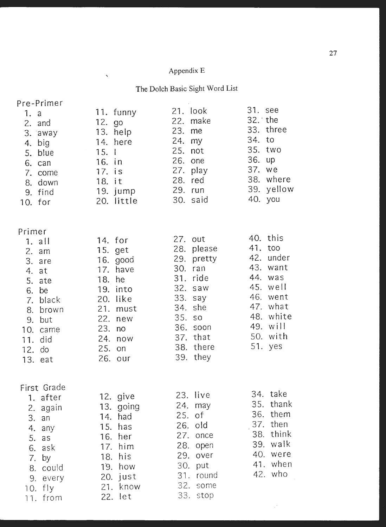# Appendix E

 $\mathbb{R}$ 

**The** Dolch Basic Sight Word List

| Pre-Primer                     |                           | 21. look                 | 31. see                  |
|--------------------------------|---------------------------|--------------------------|--------------------------|
| 1. a<br>2. and                 | 11. funny<br>12. go       | 22. make                 | $32.$ the                |
| 3. away                        | 13. help                  | 23. me                   | 33. three                |
| big<br>4.                      | 14. here                  | 24.<br>my                | 34. to                   |
| 5. blue                        | 15.1                      | $25.$ not                | 35. two                  |
| 6. can                         | 16. in                    | 26. one                  | 36. up<br>37. we         |
| 7. come                        | 17. is                    | 27. play<br>28. red      | 38. where                |
| 8. down                        | 18. it<br>19. jump        | 29. run                  | 39. yellow               |
| 9. find<br>10. for             | 20. little                | 30. said                 | 40. you                  |
|                                |                           |                          |                          |
| Primer                         | 14. for                   | 27. out                  | 40. this                 |
| $1. \quad \text{all}$<br>2. am | 15. get                   | please<br>28.            | 41. too                  |
| 3. are                         | 16. good                  | 29. pretty               | 42. under                |
| 4.<br>at                       | have<br>17.               | 30.<br>ran               | 43. want                 |
| 5.<br>ate                      | 18. he                    | 31. ride                 | 44. was                  |
| 6.<br>be                       | into<br>19.               | 32.<br>saw               | 45. well<br>46.<br>went  |
| black<br>7.                    | 20. like                  | 33.<br>say<br>she<br>34. | 47. what                 |
| 8. brown<br>but<br>9.          | 21.<br>must<br>22.<br>new | 35. so                   | 48. white                |
| 10. came                       | 23.<br>no                 | 36.<br>soon              | 49. will                 |
| 11. did                        | 24.<br>now                | 37. that                 | 50. with                 |
| 12. do                         | 25.<br>on                 | 38. there                | 51. yes                  |
| 13. eat                        | 26. our                   | 39. they                 |                          |
| First Grade                    |                           |                          |                          |
| 1. after                       | 12. give                  | 23.<br>live              | 34.<br>take              |
| again<br>2.                    | 13. going                 | $24.$ may                | thank<br>35.<br>36. them |
| 3.<br>an                       | had<br>14.                | 25. of<br>old<br>26.     | then<br>37.              |
| 4.<br>any                      | 15.<br>has<br>16.<br>her  | once<br>27.              | think<br>38.             |
| 5.<br>as<br>6.<br>ask          | 17. him                   | 28.<br>open              | 39. walk                 |
| 7.<br>by                       | his<br>18.                | 29.<br>over              | 40. were                 |
| 8. could                       | 19. how                   | 30.<br>put               | 41. when                 |
| every<br>9.                    | 20. just                  | round<br>31.             | 42. who                  |
| $10.$ fly                      | 21. know                  | 32.<br>some              |                          |
| 11. from                       | 22. let                   | 33.<br>stop              |                          |

 $\mathcal{P}^{\mathcal{C}}$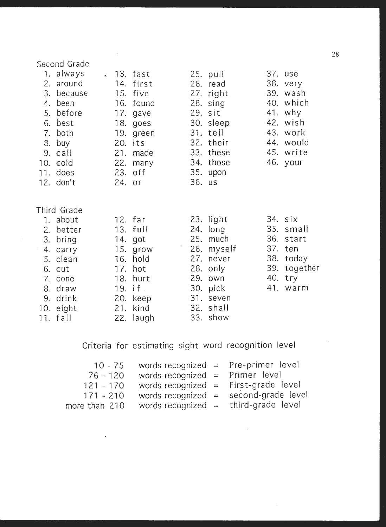# Second Grade 1. always \, 13. fast 25. pull 37. use 2. around 14. first 26. read 38. very 3. because 15. five 27. right 39. wash 4. been 16. found 28. sing 40. which 5. before 17. gave 29. sit **41.** why 6. best 18. goes 30. sleep 42. **wish**  7. both 19. green 31. tell 43. work 8. buy 20. its 32. their **44.** would 9. call 21. made 33. these 45. **write**  10. cold 22. many 34. those 46. your 11. does 23. off 35. upon 12. don't 24. or 36. **us**  Third Grade 1. about 12. far 23. light 34. six 2. better 13. full 24. long 35. small 3. bring 14. got 25. much 36. start 4. carry 15. grow 26. myself 37. ten 5. clean 16. hold 27. never 38. today 6. cut 17. hot 28. only 39. together 7. cone 18. hurt 29. own 40. try 8. draw 19. if 30. pick 41. warm 9. drink 20. keep 31. seven 10. eight 21. kind 32. shall 11. fall 22. laugh 33. show

Criteria for estimating sight word recognition level

|               | 10 - 75 words recognized = Pre-primer level |                                         |
|---------------|---------------------------------------------|-----------------------------------------|
| $76 - 120$    | words recognized = Primer level             |                                         |
| $121 - 170$   | words recognized = First-grade level        |                                         |
| $171 - 210$   |                                             | words recognized $=$ second-grade level |
| more than 210 |                                             | words recognized = third-grade level    |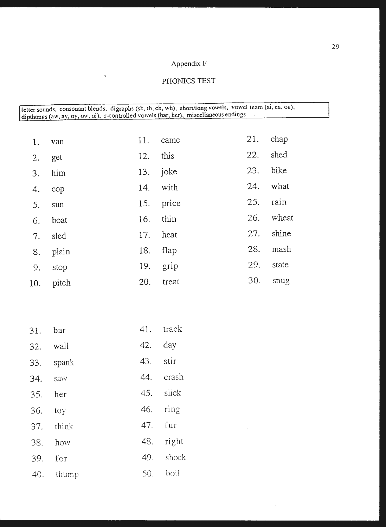# Appendix F

# ' PHONICS TEST

| letter sounds, consonant blends, digraphs (sh, th, ch, wh), short/long vowels, vowel team (ai, ea, oa),<br>dipthongs (aw, ay, oy, ow, oi), r-controlled vowels (bar, her), miscellaneous endings |       |     |       |     |       |
|--------------------------------------------------------------------------------------------------------------------------------------------------------------------------------------------------|-------|-----|-------|-----|-------|
|                                                                                                                                                                                                  |       |     |       |     |       |
| 1.                                                                                                                                                                                               | van   | 11. | came  | 21. | chap  |
| 2.                                                                                                                                                                                               | get   | 12. | this  | 22. | shed  |
| 3.                                                                                                                                                                                               | him   | 13. | joke  | 23. | bike  |
| 4.                                                                                                                                                                                               | cop   | 14. | with  | 24. | what  |
| 5.                                                                                                                                                                                               | sun   | 15. | price | 25. | rain  |
| 6.                                                                                                                                                                                               | boat  | 16. | thin  | 26. | wheat |
| 7.                                                                                                                                                                                               | sled  | 17. | heat  | 27. | shine |
| 8.                                                                                                                                                                                               | plain | 18. | flap  | 28. | mash  |
| 9.                                                                                                                                                                                               | stop  | 19. | grip  | 29. | state |
| 10.                                                                                                                                                                                              | pitch | 20. | treat | 30. | snug  |

| 31.       | bar       | 41. | track     |
|-----------|-----------|-----|-----------|
|           | 32. wall  | 42. | day       |
|           | 33. spank | 43. | stir      |
| 34. saw   |           |     | 44. crash |
| 35. her   |           |     | 45. slick |
| $36.$ toy |           |     | 46. ring  |
|           | 37. think |     | 47. fur   |
| 38.       | how       | 48. | right     |
|           | 39. for   | 49. | shock     |
|           | 40. thump | 50. | boil      |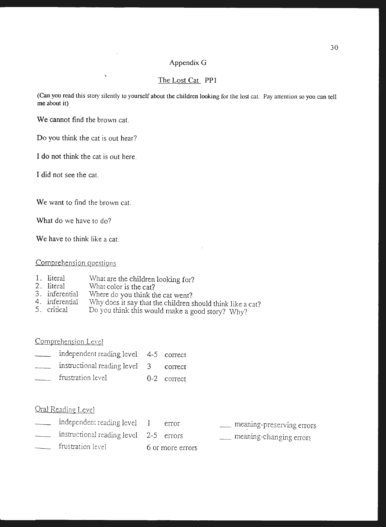### Appendix G

### The Lost Cat PP1

(Can you read this story silently to yourself about the children looking for the lost cat. Pay attention so you can tell me about it)

We cannot find the brown cat.

 $\overline{\phantom{a}}$ 

Do you think the cat is out hear?

I do not think the cat is out here.

I did not see the cat.

We want to find the brown cat.

What do we have to do?

**We** have to think like a cat.

# Comprehension auestions

- 1. literal What are the children looking for?
- 2. literal What color is the cat?
- 3. inferential Where do you think the cat went?
- 4. inferential Why does it say that the children should think like a cat?
- 5. critical Do you think this would make a good story? \Vhy?

Comprehension Level

- independent reading level 4-5 correct
- instructional reading level 3 correct
- \_\_\_ frustration level 0-2 correct

- independent reading level 1 error
- instructional reading level 2-5 errors
- frustration level 6 or more errors
- $\equiv$  meaning-preserving errors
- \_ meaning-changing errors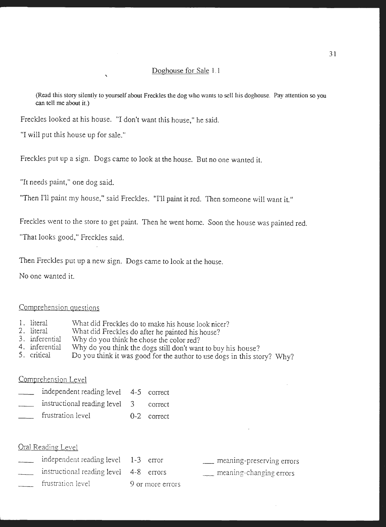#### Doghouse for Sale 1. 1

(Read this story silently to yourself about Freckles the dog who wants to sell his doghouse. Pay attention so you can tell me about it.)

Freckles looked at his house. "I don't want this house," he said.

'

"I will put this house up for sale."

Freckles put up a sign. Dogs came to look at the house. But no one wanted it.

"It needs paint," one dog said.

"Then I'll paint my house," said Freckles. ''I'll paint it red. Then someone will want it"

Freckles went to the store to get paint. Then he went home. Soon the house was painted red.

"That looks good," Freckles said.

Then Freckles put up a new sign. Dogs came to look at the house.

No one wanted it.

#### Comprehension questions

- 1. literal What did Freckles do to make his house look nicer?
- 2. literal \Vhat did Freckles do after he painted his house?
- 3. inferential Why do you think he chose the color red?
- 4. inferential Why do you think the dogs still don't want to buy his house?
- 5. critical Do you think it was good for the author to use dogs in this story? Why?

### Comprehension Level

| independent reading level 4-5 correct |               |
|---------------------------------------|---------------|
| instructional reading level 3 correct |               |
| frustration level                     | $0-2$ correct |

- independent reading level 1-3 error instructional reading level 4-8 errors frustration level 9 or more errors
- \_ meaning-preserving errors
- \_ meaning-changing errors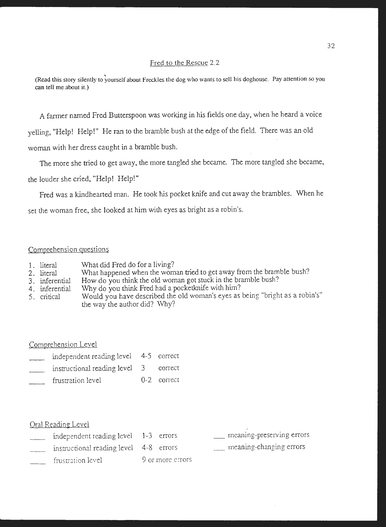#### Fred to the Rescue 2.2

(Read this story silently to yourself about Freckles the dog who wants to sell his doghouse. Pay attention so you **can tell me about it.)** 

A farmer named Fred Butterspoon was working in his fields one day, when he heard a voice

yelling, "Help! Help!" He ran to the bramble bush at the edge of the field. There was an o1d

woman with her dress caught in a bramble bush.

The more she tried to get away, the more tangled she became. The more tangled she became,

the louder she cried, "Help! Help!"

Fred was a kindhearted man. He took *his* pocket knife and cut away the brambles. When he set the woman free, she looked at him with eyes as bright as a robin's.

### Comprehension auestions

- 1. literal What did Fred do for a living?
- 2. literal What happened when the woman tried to get away from the bramble bush?
- 3. inferential How do you think the old woman got stuck in the bramble bush?
- 4. inferential Why do you think Fred had a pocketknife with him?
- 5. critical Would you have described the old woman's eyes as being "bright as a robin's" the way the author did? Why?

Comprehension Level

- independent reading level 4-5 correct
- instructional reading level 3 correct
- frustration level 0-2 correct

| independent reading level 1-3 errors   |                  | meaning-preserving errors |
|----------------------------------------|------------------|---------------------------|
| instructional reading level 4-8 errors |                  | meaning-changing errors   |
| frustration level                      | 9 or more errors |                           |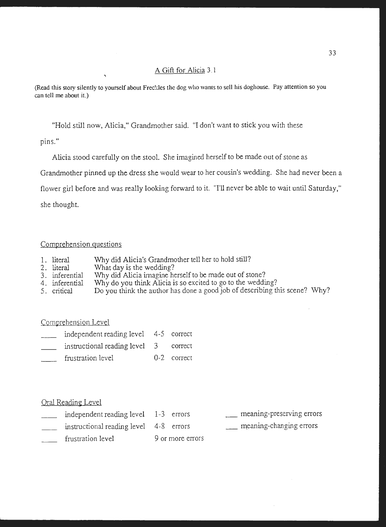# A Gift for Alicia 3. 1

(Read this story silently to yourself about Freckles the dog who wants to sell his doghouse. Pay attention so you can tell me about it.)

"Hold still now, Alicia," Grandmother said. "I don't want to stick you with these

pins."

Alicia stood carefully on the stool. She imagined herself to be made out of stone as

Grandmother pinned up the dress she would wear to her cousin's wedding. She had never been a

flower girl before and was really looking forward to it. "I'll never be able to wait until Saturday,"

she thought.

#### Comprehension questions

- 1. literal Why did Alicia's Grandmother tell her to hold still?
- 2. literal What day is the wedding?
- \Vhy did Alicia imagine herself to be made out of stone? 3. inferential
- Why do you think Alicia is so excited to go to the wedding? 4. inferential
- 5. critical Do you think the author has done a good job of describing this scene? Why?

#### Comprehension Level

- independent reading level 4-5 correct
- instructional reading level 3 correct
- frustration level 0-2 correct

| independent reading level 1-3 errors   |                  | meaning-preserving errors |
|----------------------------------------|------------------|---------------------------|
| instructional reading level 4-8 errors |                  | meaning-changing errors   |
| frustration level                      | 9 or more errors |                           |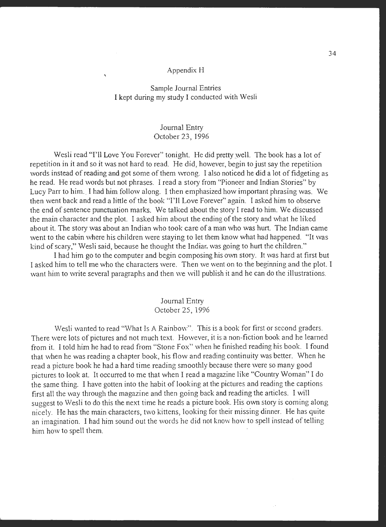#### Appendix H

## Sample Journal Entries I kept during my study I conducted with Wesli

# Journal Entry October 23, 1996

Wesli read "I'll Love You Forever" tonight. He did pretty well. The book has a lot of repetition in it and so it was not hard to read. He did, however, begin to just say the repetition words instead of reading and got some of them wrong. I also noticed he did a lot of fidgeting as he read. He read words but not phrases. I read a story from "Pioneer and Indian Stories" by Lucy Parr to him. I had him follow along. I then emphasized how important phrasing was. We then went back and read a little of the book ''I'll Love Forever" again. I asked him to observe the end of sentence punctuation marks. We talked about the story I read to him. We discussed the main character and the plot. I asked him about the ending of the story and what he liked about it. The story was about an Indian who took care of a man who was hurt. The Indian came went to the cabin where his children were staying to let them know what had happened. "It was kind of scary," Wesli said, because he thought the Indiar. was going to hurt the children."

I had him go to the computer and begin composing his own story. It was hard at first but I asked him to tell me who the characters were. Then we went on to the beginning and the plot. I want him to write several paragraphs and then we will publish it and he can do the illustrations.

### Journal Entry October 25, 1996

Wesli wanted to read "What Is A Rainbow". This is a book for first or second graders. There were lots of pictures and not much text. However, it is a non-fiction book and he learned from it. I told him he had to read from "Stone Fox" when he finished reading his book. I found that when he was reading a chapter book, his flow and reading continuity was better. When he read a picture book he had a hard time reading smoothly because there were so many good pictures to look at. It occurred to me that when I read a magazine like "Country Woman" I do the same thing. I have gotten into the habit of looking at the pictures and reading the captions first all the way through the magazine and then going back and reading the articles. I will suggest to Wesli to do this the next time he reads a picture book. His own story is coming along nicely. He has the main characters, two kittens, looking for their missing dinner. He has quite an imagination. I had him sound out the words he did not know how to spell instead of telling him how to spell them.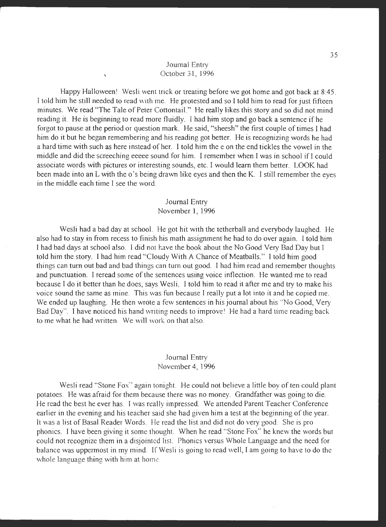## Journal Entry October 31, 1996

'

Happy Halloween! Wesli went trick or treating before we got home and got back at 8:45. I told him he still needed to read with me. He protested and so I told him to read for just fifteen minutes. We read "The Tale of Peter Cottontail." He really likes this story and so did not mind reading it. He is beginning to read more fluidly. I had him stop and go back a sentence if he forgot to pause at the period or question mark. He said, "sheesh" the first couple of times I had him do it but he began remembering and his reading got better. He is recognizing words he had a hard time with such as here instead of her. I told him the e on the end tickles the vowel in the middle and did the screeching eeeee sound for him. I remember when I was in school ifl could associate words with pictures or interesting sounds, etc. I would learn them better. LOOK had been made into an L with the o's being drawn like eyes and then the K. I still remember the eyes in the middle each time I see the word.

#### Journal Entry November 1, 1996

Wesli had a bad day at school. He got hit with the tetherball and everybody laughed. He also had to stay in from recess to finish his math assignment he had to do over again. I told him I had bad days at school also. I did not have the book about the No Good Very Bad Day but I told him the story. I had him read "Cloudy With A Chance of Meatballs." I told him good things can tum out bad and bad things can tum out good. I had him read and remember thoughts and punctuation. I reread some of the sentences using voice inflection. He wanted me to read because I do it better than he does, says Wesli. I told him to read it after me and try to make his voice sound the same as mine. This was fun because I really put a lot into it and he copied me. We ended up laughing. He then wrote a few sentences in his journal about his "No Good, Very Bad Day". I have noticed his hand writing needs to improve! He had a hard time reading back to me what he had written. We will work on that also.

### Journal Entry November 4, 1996

Wesli read "Stone Fox" again tonight. He could not believe a little boy of ten could plant potatoes. He was afraid for them because there was no money. Grandfather was going to die. He read the best he ever has. I was really impressed. We attended Parent Teacher Conference earlier in the evening and his teacher said she had given him a test at the beginning of the year. It was a list of Basal Reader Words. He read the list and did not do very good. She is pro phonics. I have been giving it some thought. When he read "Stone Fox" he knew the words but could not recognize them in a disjointed list. Phonics versus Whole Language and the need for balance was uppermost in my mind. If Wesli is going to read well, I am going to have to do the whole language thing with him at home.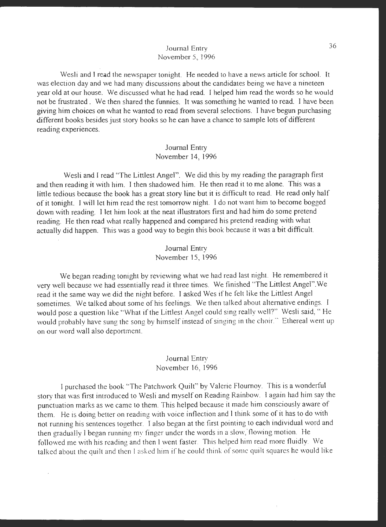#### Journal Entry November 5, 1996

Wesli and I read the newspaper tonight. He needed to have a news article for school. It was election day and we had many discussions about the candidates being we have a nineteen year old at our house. We discussed what he had read. I helped him read the words so he would not be frustrated. We then shared the funnies. It was something he wanted to read. I have been <sup>g</sup>iving him choices on what he wanted to read from several selections. I have begun purchasing different books besides just story books so he can have a chance to sample lots of different reading experiences.

### Journal Entry November 14, 1996

Wesli and I read "The Littlest Angel". We did this by my reading the paragraph first and then reading it with him. I then shadowed him. He then read it to me alone. This was a little tedious because the book has a great story line but it is difficult to read. He read only half of it tonight. I will let him read the rest tomorrow night. I do not want him to become bogged down with reading. I let him look at the neat illustrators first and had him do some pretend reading. He then read what really happened and compared his pretend reading with what actually did happen. This was a good way to begin this book because it was a bit difficult.

#### Journal Entry November 15, 1996

We began reading tonight by reviewing what we had read last night. He remembered it very well because we had essentially read it three times. We finished "The Littlest Angel". We read it the same way we did the night before. I asked Wes if he felt like the Littlest Angel sometimes. We talked about some of his feelings. We then talked about alternative endings. I would pose a question like "What if the Littlest Angel could sing really well?" Wesli said, "He would probably have sung the song by himself instead of singing in the choir.'' Ethereal went up on our word \Vall also deportment.

# Journal Entry November 16, 1996

l purchased the book ''The Patchwork Quilt" by Valerie Flournoy. This is a wonderful story that was first introduced to Wesli and myself on Reading Rainbow. I again had him say the punctuation marks as we came to them. This helped because it made him consciously aware of them. He is doing better on reading with voice inflection and I think some of it has to do with not running his sentences together. I also began at the first pointing to each individual word and then gradually I began running my finger under the words in a slow,'flowing motion. He followed me with his reading and then I went faster. This helped him read more fluidly. We talked about the quilt and then I asked him if he could think of some quilt squares he would like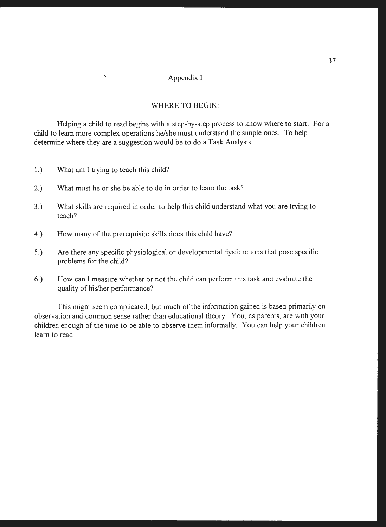# Appendix I

#### WHERE TO BEGIN:

Helping a child to read begins with a step-by-step process to know where to start. For a child to learn more complex operations he/she must understand the simple ones. To help determine where they are a suggestion would be to do a Task Analysis.

- 1.) What am I trying to teach this child?
- 2.) What must he or she be able to do in order to learn the task?
- 3.) What skills are required in order to help this child understand what you are trying to teach?
- 4.) How many of the prerequisite skills does this child have?
- 5.) Are there any specific physiological or developmental dysfunctions that pose specific problems for the child?
- 6.) How can I measure whether or not the child can perform this task and evaluate the quality of his/her performance?

This might seem complicated, but much of the information gained is based primarily on observation and common sense rather than educational theory. You, as parents, are with your children enough of the time to be able to observe them informally. You can help your children learn to read.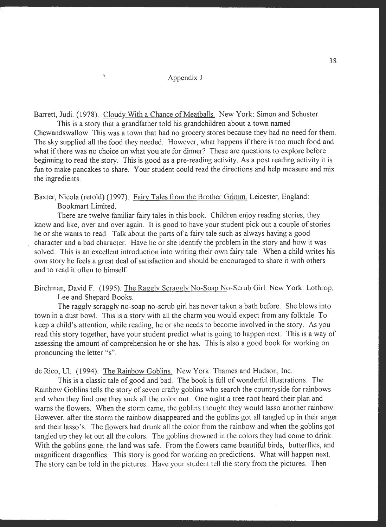# ' Appendix J

Barrett, Judi. (1978). Cloudy With a Chance of Meatballs. New York: Simon and Schuster.

This is a story that a grandfather told his grandchildren about a town named Chewandswallow. This was a town that had no grocery stores because they had no need for them. The sky supplied all the food they needed. However, what happens if there is too much food and what if there was no choice on what you ate for dinner? These are questions to explore before beginning to read the story. This is good as a pre-reading activity. As a post reading activity it is fun to make pancakes to share. Your student could read the directions and help measure and mix the ingredients.

Baxter, Nicola (retold) (1997). Fairy Tales from the Brother Grimm. Leicester, England: Bookmart Limited.

There are twelve familiar fairy tales in this book. Children enjoy reading stories, they know and like, over and over again. It is good to have your student pick out a couple of stories he or she wants to read. Talk about the parts of a fairy tale such as always having a good character and a bad character. Have he or she identify the problem in the story and how it was solved. This is an excellent introduction into writing their own fairy tale. When a child writes his own story he feels a great deal of satisfaction and should be encouraged to share it with others and to read it often to himself

Birchman, David F. (1995). The Raggly Scraggly No-Soap No-Scrub Girl. New York: Lothrop, Lee and Shepard Books.

The raggly scraggly no-soap no-scrub girl has never taken a bath before. She blows into town in a dust bowl. This is a story with all the charm you would expect from any folktale. To keep a child's attention, while reading, he or she needs to become involved in the story. As you read this story together, have your student predict what is going to happen next. This is a way of assessing the amount of comprehension he or she has. This is also a good book for working on pronouncing the letter "s".

de Rico, UL (1994). The Rainbow Goblins. New York: Thames and Hudson, Inc.

This is a classic tale of good and bad. The book is full of wonderful illustrations. The Rainbow Goblins tells the story of seven crafty goblins who search the countryside for rainbows and when they find one they suck all the color out. One night a tree root heard their plan and warns the flowers. When the storm came, the goblins thought they would lasso another rainbow. However, after the storm the rainbow disappeared and the goblins got all tangled up in their anger and their lasso's. The flowers had drunk all the color from the rainbow and when the goblins got tangled up they let out all the colors. The goblins drowned in the colors they had come to drink. With the goblins gone, the land was safe. From the flowers came beautiful birds, butterflies, and magnificent dragonflies. This story is good for working on predictions. What will happen next. The story can be told in the pictures. Have your student tell the story from the pictures. Then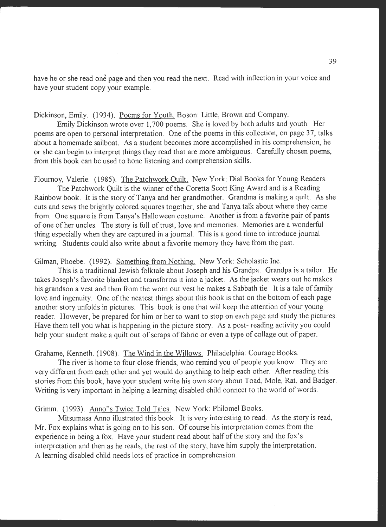have he or she read one page and then you read the next. Read with inflection in your voice and have your student copy your example.

Dickinson, Emily. (1934). Poems for Youth. Boson: Little, Brown and Company.

Emily Dickinson wrote over 1,700 poems. She is loved by both adults and youth. Her poems are open to personal interpretation. One of the poems in this collection, on page 37, talks about a homemade sailboat. As a student becomes more accomplished in his comprehension, he or she can begin to interpret things they read that are more ambiguous. Carefully chosen poems, from this book can be used to hone listening and comprehension skills.

Flournoy, Valerie. (1985). The Patchwork Quilt. New York: Dial Books for Young Readers.

The Patchwork Quilt is the winner of the Coretta Scott King Award and is a Reading Rainbow book. It is the story of Tanya and her grandmother. Grandma is making a quilt. As she cuts and sews the brightly colored squares together, she and Tanya talk about where they came from. One square is from Tanya's Halloween costume. Another is from a favorite pair of pants of one of her uncles. The story is full of trust, love and memories. Memories are a wonderful thing especially when they are captured in a journal. This is a good time to introduce journal writing. Students could also write about a favorite memory they have from the past.

Gilman, Phoebe. (1992). Something from Nothing. New York: Scholastic Inc.

This is a traditional Jewish folktale about Joseph and his Grandpa. Grandpa is a tailor. He takes Joseph's favorite blanket and transforms it into a jacket. As the jacket wears out he makes his grandson a vest and then from the worn out vest he makes a Sabbath tie. It is a tale of family love and ingenuity. One of the neatest things about this book is that on the bottom of each page another story unfolds in pictures. This book is one that will keep the attention of your young reader. However, be prepared for him or her to want to stop on each page and study the pictures. Have them tell you what is happening in the picture story. As a post- reading activity you could help your student make a quilt out of scraps of fabric or even a type of collage out of paper.

Grahame, Kenneth. (1908). The Wind in the Willows. Philadelphia: Courage Books.

The river is home to four close friends, who remind you of people you know. They are very different from each other and yet would do anything to help each other. After reading this stories from this book, have your student write his own story about Toad, Mole, Rat, and Badger. Writing is very important in helping a learning disabled child connect to the world of words.

Grimm. (1993). Anno"s Twice Told Tales. New York: Philomel Books.

Mitsumasa Anno illustrated this book. It is very interesting to read. As the story is read, Mr. Fox explains what is going on to his son. Of course his interpretation comes from the experience in being a fox. Have your student read about half of the story and the fox's interpretation and then as he reads, the rest of the story, have him supply the interpretation. A learning disabled child needs lots of practice in comprehension.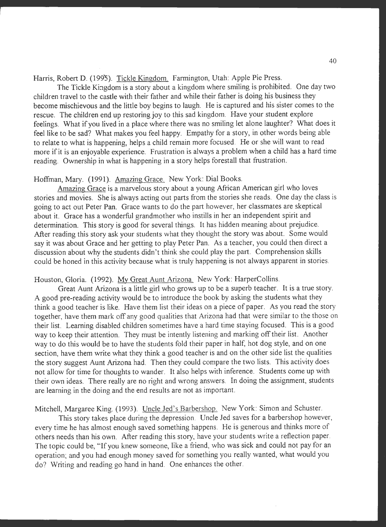Harris, Robert D. (1995). Tickle Kingdom. Farmington, Utah: Apple Pie Press.

The Tickle Kingdom is a story about a kingdom where smiling is prohibited. One day two children travel to the castle with their father and while their father is doing his business they become mischievous and the little boy begins to laugh. He is captured and his sister comes to the rescue. The children end up restoring joy to this sad kingdom. Have your student explore feelings. What if you lived in a place where there was no smiling let alone laughter? What does it feel like to be sad? What makes you feel happy. Empathy for a story, in other words being able to relate to what is happening, helps a child remain more focused. He or she will want to read more if it is an enjoyable experience. Frustration is always a problem when a child has a hard time reading. Ownership in what is happening in a story helps forestall that frustration.

#### Hoffman, **Mary.** (1991). Amazing Grace. New York: Dial Books.

Amazing Grace is a marvelous story about a young African American girl who loves stories and movies. She is always acting out parts from the stories she reads. One day the class is going to act out Peter Pan. Grace wants to do the part however, her classmates are skeptical about it. Grace has a wonderful grandmother who instills in her an independent spirit and determination. This story is good for several things. It has hidden meaning about prejudice. After reading this story ask your students what they thought the story was about. Some would say it was about Grace and her getting to play Peter Pan. As a teacher, you could then direct a discussion about why the students didn't think she could play the part. Comprehension skills could be honed in this activity because what is truly happening is not always apparent in stories.

# Houston, Gloria. (1992). My Great Aunt Arizona. New York: HarperCollins.

Great Aunt Arizona is a little girl who grows up to be a superb teacher. It is a true story. A good pre-reading activity would be to introduce the book by asking the students what they think a good teacher is like. Have them list their ideas on a piece of paper. As you read the story together, have them mark off any good qualities that Arizona had that were similar to the those on their list. Learning disabled children sometimes have a hard time staying focused. This is a good way to keep their attention. They must be intently listening and marking off their list. Another way to do this would be to have the students fold their paper in half, hot dog style, and on one section, have them write what they think a good teacher is and on the other side list the qualities the story suggest Aunt Arizona had. Then they could compare the two lists. This activity does not allow for time for thoughts to wander. It also helps with inference. Students come up with their own ideas. There really are no right and wrong answers. In doing the assignment, students are learning in the doing and the end results are not as important.

Mitchell, Margaree King. (1993). Uncle Jed's Barbershop. New York: Simon and Schuster.

This story takes place during the depression. Uncle Jed saves for a barbershop however, every time he has almost enough saved something happens. He is generous and thinks more of others needs than his own. After reading this story, have your students write a reflection paper. The topic could be, "If you knew someone, like a friend, who was sick and could not pay for an operation; and you had enough money saved for something you really wanted, what would you do? Writing and reading go hand in hand. One enhances the other.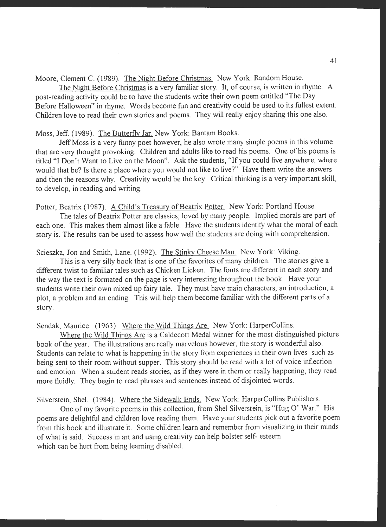Moore, Clement C. (1989). The Night Before Christmas. New York: Random House.

The Night Before Christmas is a very familiar story. It, of course, is written in rhyme. A post-reading activity could be to have the students write their own poem entitled "The Day Before Halloween" in rhyme. Words become fun and creativity could be used to its fullest extent. Children love to read their own stories and poems. They will really enjoy sharing this one also.

Moss, Jeff. (1989). The Butterfly Jar. New York: Bantam Books.

Jeff Moss is a very funny poet however, he also wrote many simple poems in this volume that are very thought provoking. Children and adults like to read his poems. One of his poems is titled "I Don't Want to Live on the Moon". Ask the students, "If you could live anywhere, where would that be? Is there a place where you would not like to live?" Have them write the answers and then the reasons why. Creativity would be the key. Critical thinking is a very important skill, to develop, in reading and writing.

Potter, Beatrix (1987). A Child's Treasury of Beatrix Potter. New York: Portland House.

The tales of Beatrix Potter are classics; loved by many people. Implied morals are part of each one. This makes them almost like a fable. Have the students identify what the moral of each story is. The results can be used to assess how well the students are doing with comprehension.

Scieszka, Jon and Smith, Lane. (1992). The Stinky Cheese Man. New York: Viking.

This is a very silly book that is one of the favorites of many children. The stories give a different twist to familiar tales such as Chicken Licken. The fonts are different in each story and the way the text is formated on the page is very interesting throughout the book. Have your students write their own mixed up fairy tale. They must have main characters, an introduction, a <sup>p</sup>lot, a problem and an ending. This will help them become familiar with the different parts of a story.

Sendak, Maurice. (1963). Where the Wild Things Are. New York: HarperCollins.

Where the Wild Things Are is a Caldecott Medal winner for the most distinguished picture book of the year. The illustrations are really marvelous however, the story is wonderful also. Students can relate to what is happening in the story from experiences in their own lives such as being sent to their room without supper. This story should be read with a lot of voice inflection and emotion. When a student reads stories, as if they were in them or really happening, they read more fluidly. They begin to read phrases and sentences instead of disjointed words.

Silverstein, Shel. (1984). Where the Sidewalk Ends. New York: HarperCollins Publishers.

One of my favorite poems in this collection, from Shel Silverstein, is "Hug O' War." His poems are delightful and children love reading them. Have your students pick out a favorite poem from this book and illustrate it. Some children learn and remember from visualizing in their minds of what is said. Success in art and using creativity can help bolster self- esteem which can be hurt from being learning disabled.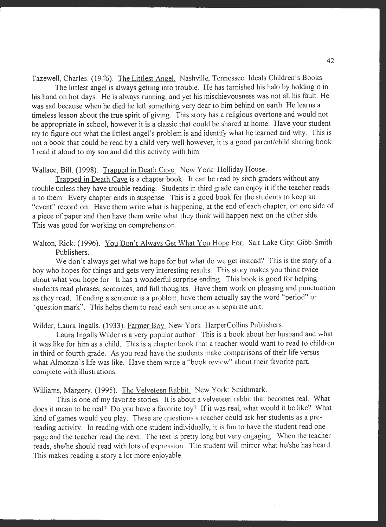Tazewell, Charles. (1946). The Littlest Angel. Nashville, Tennessee: Ideals Children's Books.

The littlest angel is always getting into trouble. He has tarnished his halo by holding it in his hand on hot days. He is always running, and yet his mischievousness was not all his fault. He was sad because when he died he left something very dear to him behind on earth. He learns a timeless lesson about the true spirit of giving. This story has a religious overtone and would not be appropriate in school, however it is a classic that could be shared at home. Have your student try to figure out what the littlest angel's problem is and identify what he learned and why. This is not a book that could be read by a child very well however, it is a good parent/child sharing book. I read it aloud to my son and did this activity with him.

# Wallace, Bill. (1998). Trapped in Death Cave. New York: Holliday House.

Trapped in Death Cave is a chapter book. It can be read by sixth graders without any trouble unless they have trouble reading. Students in third grade can enjoy it if the teacher reads it to them. Every chapter ends in suspense. This is a good book for the students to keep an "event" record on. Have them write what is happening, at the end of each chapter, on one side of a piece of paper and then have them write what they think will happen next on the other side. This was good for working on comprehension.

# Walton, Rick. (1996). You Don't Always Get What You Hope For. Salt Lake City: Gibb-Smith Publishers.

We don't always get what we hope for but what do we get instead? This is the story of a boy who hopes for things and gets very interesting results. This story makes you think twice about what you hope for. It has a wonderful surprise ending. This book is good for helping students read phrases, sentences, and full thoughts. Have them work on phrasing and punctuation as they read. If ending a sentence is a problem, have them actually say the word "period" or "question mark". This helps them to read each sentence as a separate unit.

Wilder, Laura Ingalls. (1933). Farmer Boy. New York: HarperCollins Publishers.

Laura Ingalls Wilder is a very popular author. This is a book about her husband and what it was like for him as a child. This is a chapter book that a teacher would want to read to children in third or fourth grade. As you read have the students make comparisons of their life versus what Almonzo's life was like. Have them write a "book review" about their favorite part, complete with illustrations.

Williams, Margery. (1995). The Velveteen Rabbit. New York: Smithmark.

This is one of my favorite stories. It is about a velveteen rabbit that becomes real. What does it mean to be real? Do you have a favorite toy? If it was real, what would it be like? What kind of games would you play. These are questions a teacher could ask her students as a prereading activity. In reading with one student individually, it is fun to have the student read one page and the teacher read the next. The text is pretty long but very engaging. When the teacher reads, she/he should read with lots of expression. The student will mirror what he/she has heard. This makes reading a story a lot more enjoyable.